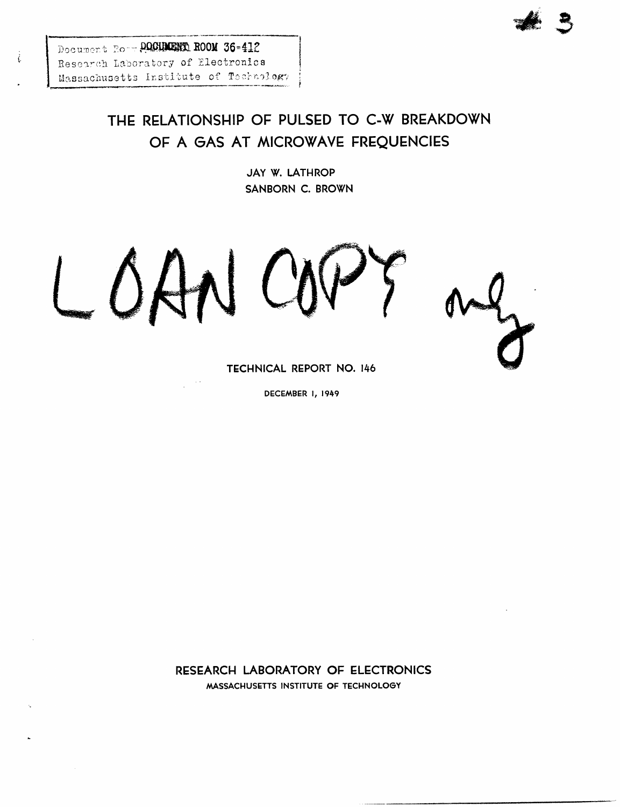

 $\zeta$ 

# THE RELATIONSHIP OF PULSED TO C-W BREAKDOWN OF A GAS AT MICROWAVE FREQUENCIES

JAY W. LATHROP **SANBORN C. BROWN** 

LOAN CNP



TECHNICAL REPORT NO. 146

DECEMBER 1, 1949

RESEARCH LABORATORY OF ELECTRONICS MASSACHUSETTS INSTITUTE OF TECHNOLOGY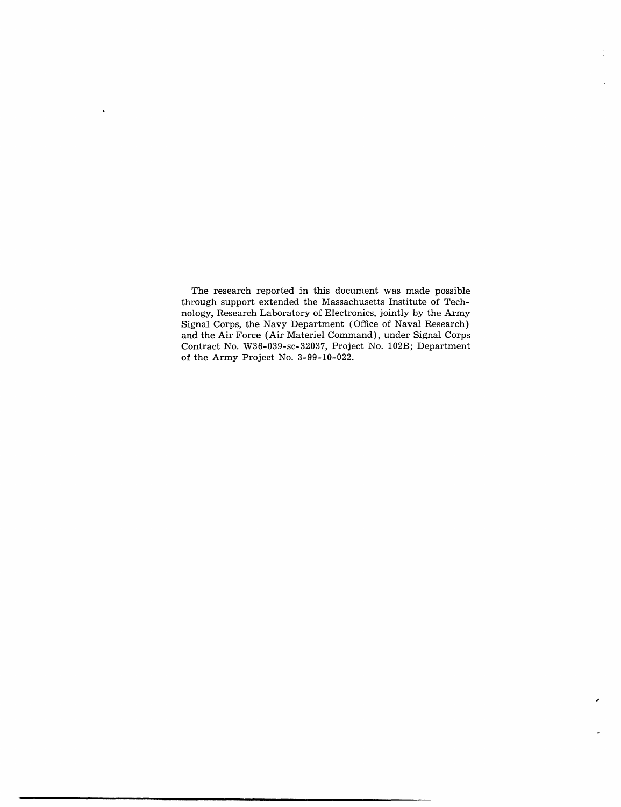The research reported in this document was made possible through support extended the Massachusetts Institute of Technology, Research Laboratory of Electronics, jointly by the Army Signal Corps, the Navy Department (Office of Naval Research) and the Air Force (Air Materiel Command), under Signal Corps Contract No. W36-039-sc-32037, Project No. 102B; Department of the Army Project No. 3-99-10-022.

lista ante a la comunicación de la comunicación de la comunicación de la comunicación de la comunicación de la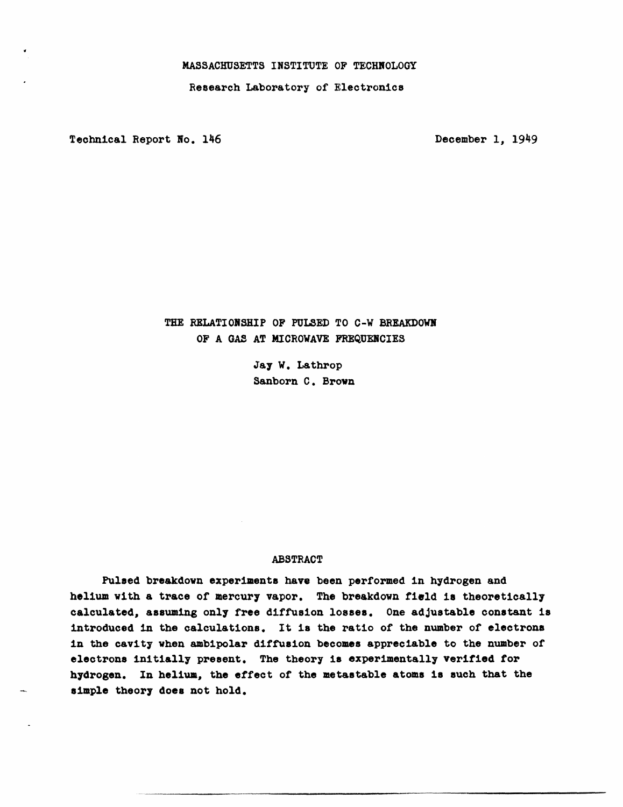### MASSACHUSETTS INSTITUTE OF TECHNOLOGY

#### Research Laboratory of Electronics

Technical Report No. 146 December 1, 1949

## THE RELATIONSHIP OF PULSED TO C-W BREAKDOWN OF A GAS AT MICROWAVE FREQUENCIES

Jay W. Lathrop Sanborn C. Brown

#### ABSTRACT

Pulsed breakdown experiments have been performed in hydrogen and helium with a trace of mercury vapor. The breakdown field is theoretically calculated, assuming only free diffusion losses. One adjustable constant is introduced in the calculations. It is the ratio of the number of electrons in the cavity when ambipolar diffusion becomes appreciable to the number of electrons initially present. The theory is experimentally verified for hydrogen. In helium, the effect of the metastable atoms is such that the simple theory does not hold.

\_\_I\_\_\_\_\_I·-··--··IIU------- --Y- C-IIICI· 111------·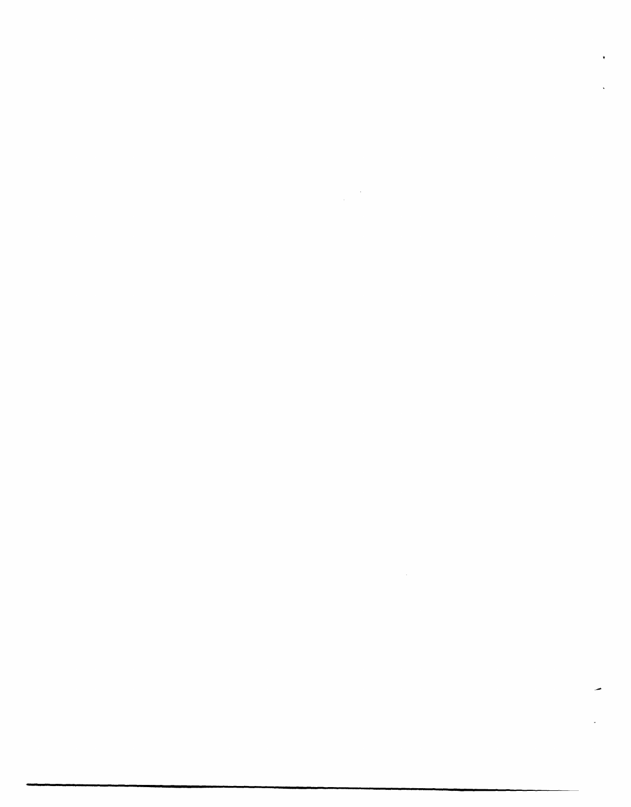$\label{eq:2.1} \frac{1}{\sqrt{2\pi}}\frac{1}{\sqrt{2\pi}}\frac{1}{\sqrt{2\pi}}\frac{1}{\sqrt{2\pi}}\frac{1}{\sqrt{2\pi}}\frac{1}{\sqrt{2\pi}}\frac{1}{\sqrt{2\pi}}\frac{1}{\sqrt{2\pi}}\frac{1}{\sqrt{2\pi}}\frac{1}{\sqrt{2\pi}}\frac{1}{\sqrt{2\pi}}\frac{1}{\sqrt{2\pi}}\frac{1}{\sqrt{2\pi}}\frac{1}{\sqrt{2\pi}}\frac{1}{\sqrt{2\pi}}\frac{1}{\sqrt{2\pi}}\frac{1}{\sqrt{2\pi}}\frac{1}{\sqrt$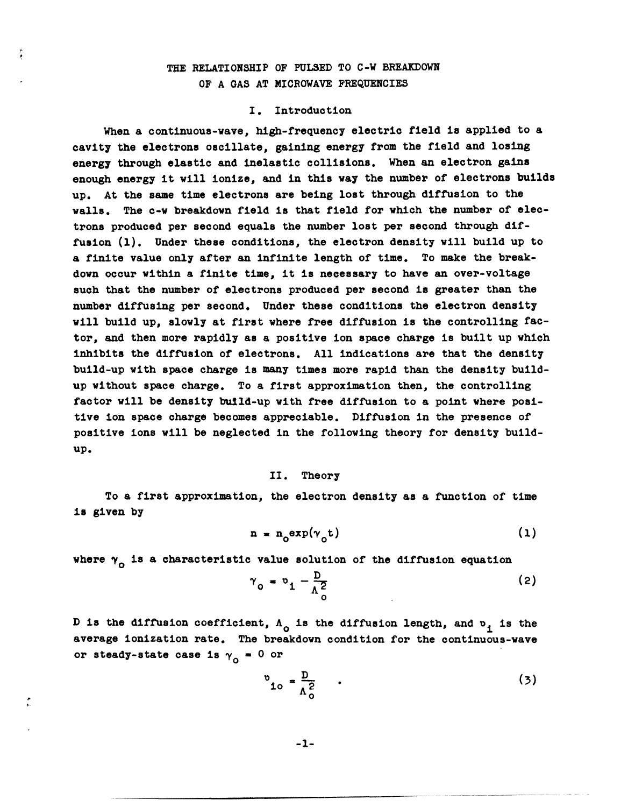## THE RELATIONSHIP OF PULSED TO C-W BREAKDOWN OF A GAS AT MICROWAVE FREQUENCIES

#### I. Introduction

When a continuous-wave, high-frequency electric field is applied to a cavity the electrons oscillate, gaining energy from the field and losing energy through elastic and inelastic collisions. When an electron gains enough energy it will ionize, and in this way the number of electrons builds up. At the same time electrons are being lost through diffusion to the walls. The c-w breakdown field is that field for which the number of electrons produced per second equals the number lost per second through diffusion (1). Under these conditions, the electron density will build up to a finite value only after an infinite length of time. To make the breakdown occur within a finite time, it is necessary to have an over-voltage such that the number of electrons produced per second is greater than the number diffusing per second. Under these conditions the electron density will build up, slowly at first where free diffusion is the controlling factor, and then more rapidly as a positive ion space charge is built up which inhibits the diffusion of electrons. All indications are that the density build-up with space charge is many times more rapid than the density buildup without space charge. To a first approximation then, the controlling factor will be density build-up with free diffusion to a point where positive ion space charge becomes appreciable. Diffusion in the presence of positive ions will be neglected in the following theory for density buildup.

#### II. Theory

To a first approximation, the electron density as a function of time is given by

$$
n = n_0 \exp(\gamma_0 t) \tag{1}
$$

where  $\gamma_{\alpha}$  is a characteristic value solution of the diffusion equation

$$
\gamma_o = v_1 - \frac{D}{\Lambda_o^2} \tag{2}
$$

D is the diffusion coefficient,  $\Lambda_{\alpha}$  is the diffusion length, and  $v_i$  is the average ionization rate. The breakdown condition for the continuous-wave or steady-state case is  $\gamma$  = 0 or

$$
v_{10} = \frac{D}{\Lambda_0^2} \qquad (3)
$$

-1-

\_\_ \_I \_\_\_\_\_\_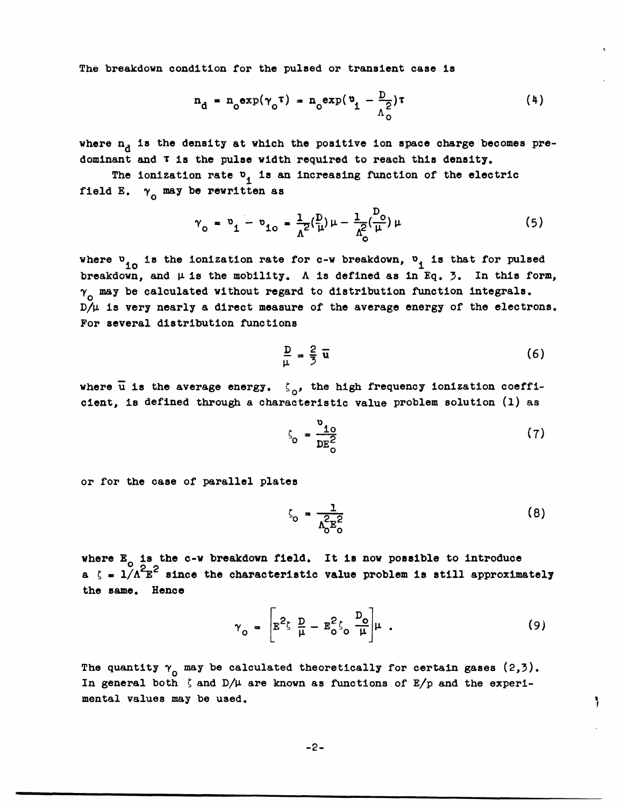The breakdown condition for the pulsed or transient case is

$$
n_{d} = n_{o} exp(\gamma_{o} \tau) = n_{o} exp(\upsilon_{1} - \frac{D}{\Lambda_{o}^{2}}) \tau
$$
 (4)

where  $n_d$  is the density at which the positive ion space charge becomes predominant and T is the pulse width required to reach this density.

The ionization rate  $v_i$  is an increasing function of the electric field E.  $\gamma_{0}$  may be rewritten as

$$
\gamma_0 = v_1 - v_{10} = \frac{1}{\Lambda^2} (\frac{D}{\mu}) \mu - \frac{1}{\Lambda_0^2} (\frac{D}{\mu}) \mu
$$
 (5)

where  $v_{10}$  is the ionization rate for c-w breakdown,  $v_{1}$  is that for pulsed breakdown, and  $\mu$  is the mobility. A is defined as in Eq. 3. In this form,  $\gamma_{\alpha}$  may be calculated without regard to distribution function integrals.  $D/\mu$  is very nearly a direct measure of the average energy of the electrons. For several distribution functions

$$
\frac{D}{\mu} = \frac{2}{3} \overline{u} \tag{6}
$$

where  $\bar{u}$  is the average energy.  $\zeta_o$ , the high frequency ionization coefficient, is defined through a characteristic value problem solution (1) as

$$
\zeta_0 = \frac{v_{10}}{DE_0^2}
$$
 (7)

or for the case of parallel plates

\_

$$
\zeta_0 = \frac{1}{\Lambda_0^2 E_0^2}
$$
 (8)

where  $E_0$  is the c-w breakdown field. It is now possible to introduce a  $\zeta = 1/\Lambda^2 E^2$  since the characteristic value problem is still approximately the same. Hence

$$
\gamma_{\circ} = \left[ E^2 \zeta \frac{D}{\mu} - E^2 \zeta_{\circ} \frac{D_{\circ}}{\mu} \right] \mu . \qquad (9)
$$

The quantity  $\gamma_{\alpha}$  may be calculated theoretically for certain gases (2,3). In general both  $\zeta$  and D/ $\mu$  are known as functions of E/p and the experimental values may be used.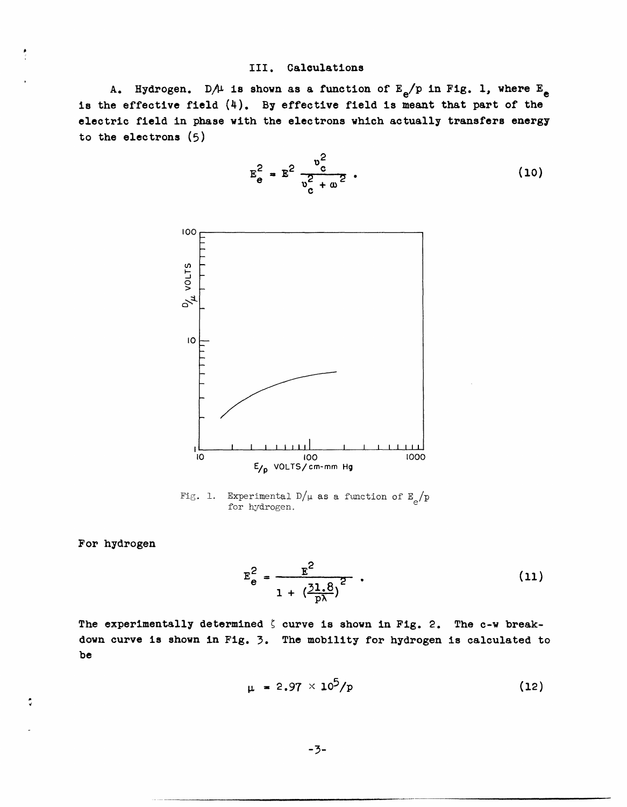### III. Calculations

A. Hydrogen. D/ $\mu$  is shown as a function of  $E_e/p$  in Fig. 1, where  $E_e$ is the effective field  $(4)$ . By effective field is meant that part of the electric field in phase with the electrons which actually transfers energy to the electrons (5)

$$
E_{e}^{2} = E^{2} \frac{v_{c}^{2}}{v_{c}^{2} + \omega^{2}} \tag{10}
$$



Fig. 1. Experimental  $D/\mu$  as a function of  $E_{\alpha}/p$ for hydrogen.

For hydrogen

÷,

$$
E_{e}^{2} = \frac{E^{2}}{1 + (\frac{31.8}{p\lambda})^{2}} \tag{11}
$$

The experimentally determined  $\zeta$  curve is shown in Fig. 2. The c-w breakdown curve is shown in Fig. 3. The mobility for hydrogen is calculated to be

$$
\mu = 2.97 \times 10^5 / p \tag{12}
$$

-- ----- --- --- ~------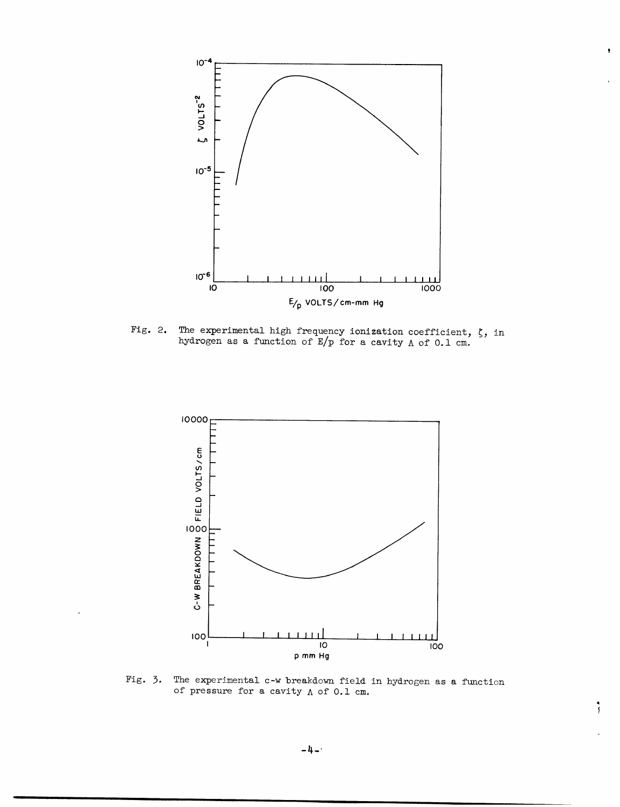

The experimental high frequency ionization coefficient,  $\zeta$ , in hydrogen as a function of E/p for a cavity  $\Lambda$  of 0.1 cm. Fig. 2.



The experimental c-w breakdown field in hydrogen as a function of pressure for a cavity  $\Lambda$  of 0.1 cm. Fig. 3.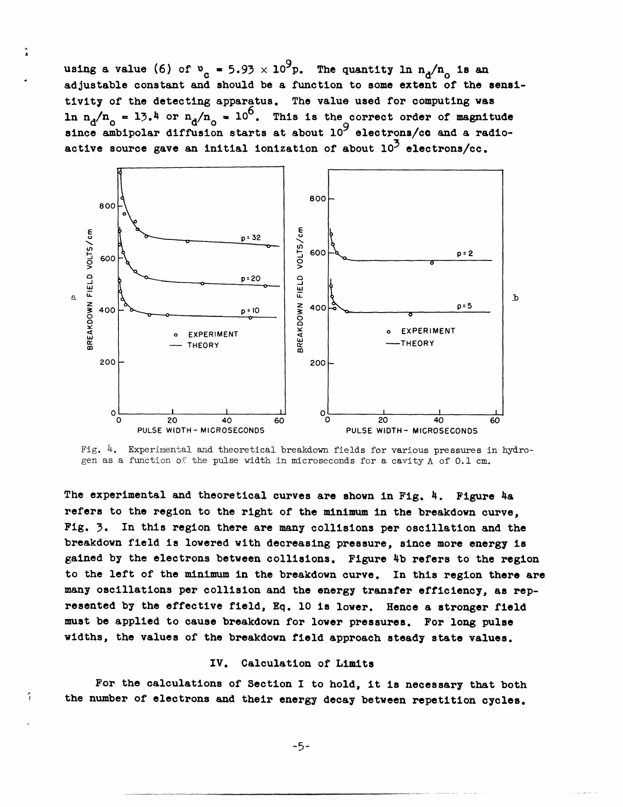using a value (6) of  $v_c = 5.93 \times 10^9$ p. The quantity ln  $n_d/n_o$  is an adjustable constant and should be a function to some extent of the sensitivity of the detecting apparatus. The value used for computing was  $\ln n_d/n_o = 13.4$  or  $n_d/n_o = 10^\circ$ . This is the correct order of magnitude since ambipolar diffusion starts at about  $10<sup>2</sup>$  electrons/cc and a radioactive source gave an initial ionization of about  $10^3$  electrons/cc.

*A*

7



Fig. 4. Experimental and theoretical breakdown fields for various pressures in hydrogen as a function of the pulse width in microseconds for a cavity  $\Lambda$  of 0.1 cm.

The experimental and theoretical curves are shown in Fig. 4. Figure 4a refers to the region to the right of the minimum in the breakdown curve, Fig. 3. In this region there are many collisions per oscillation and the breakdown field is lowered with decreasing pressure, since more energy is gained by the electrons between collisions. Figure 4b refers to the region to the left of the minimum in the breakdown curve. In this region there are many oscillations per collision and the energy transfer efficiency, as represented by the effective field, Eq. 10 is lower. Hence a stronger field must be applied to cause breakdown for lower pressures. For long pulse widths, the values of the breakdown field approach steady state values.

#### IV. Calculation of Limits

For the calculations of Section I to hold, it is necessary that both the number of electrons and their energy decay between repetition cycles.

-5-

\_1\_\_\_\_1 \_1\_1 \_ \_ I\_ \_\_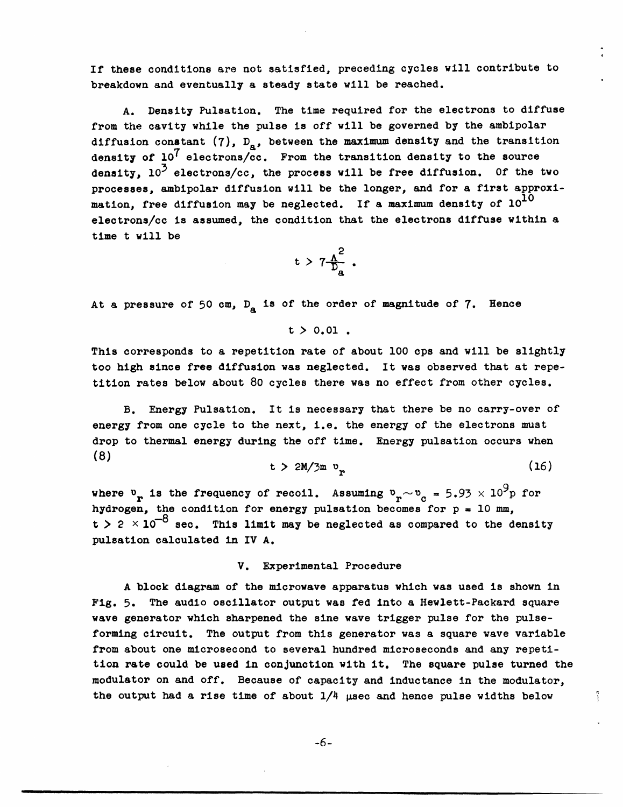If these conditions are not satisfied, preceding cycles will contribute to breakdown and eventually a steady state will be reached.

A. Density Pulsation. The time required for the electrons to diffuse from the cavity while the pulse is off will be governed by the ambipolar diffusion constant (7),  $D_{\alpha}$ , between the maximum density and the transition density of  $10^7$  electrons/cc. From the transition density to the source density,  $10^3$  electrons/cc, the process will be free diffusion. Of the two processes, ambipolar diffusion will be the longer, and for a first approximation, free diffusion may be neglected. If a maximum density of  $10^{10}$ electrons/cc is assumed, the condition that the electrons diffuse within a time t will be

$$
t > 7 \frac{\Lambda^2}{D_a} .
$$

At a pressure of 50 cm,  $D_{\rm g}$  is of the order of magnitude of 7. Hence

$$
t > 0.01.
$$

This corresponds to a repetition rate of about 100 cps and will be slightly too high since free diffusion was neglected. It was observed that at repetition rates below about 80 cycles there was no effect from other cycles.

B. Energy Pulsation. It is necessary that there be no carry-over of energy from one cycle to the next, i.e. the energy of the electrons must drop to thermal energy during the off time. Energy pulsation occurs when (8)

$$
t > 2M/3m \nu_{\rm r} \tag{16}
$$

where  $v_r$  is the frequency of recoil. Assuming  $v_r \sim v_c = 5.93 \times 10^9$  for hydrogen, the condition for energy pulsation becomes for  $p = 10$  mm,  $t > 2 \times 10^{-8}$  sec. This limit may be neglected as compared to the density pulsation calculated in IV A.

#### V. Experimental Procedure

A block diagram of the microwave apparatus which was used is shown in Fig. 5. The audio oscillator output was fed into a Hewlett-Packard square wave generator which sharpened the sine wave trigger pulse for the pulseforming circuit. The output from this generator was a square wave variable from about one microsecond to several hundred microseconds and any repetition rate could be used in conjunction with it. The square pulse turned the modulator on and off. Because of capacity and inductance in the modulator, the output had a rise time of about  $1/4$  µsec and hence pulse widths below

-6-

I \_ \_ I \_\_\_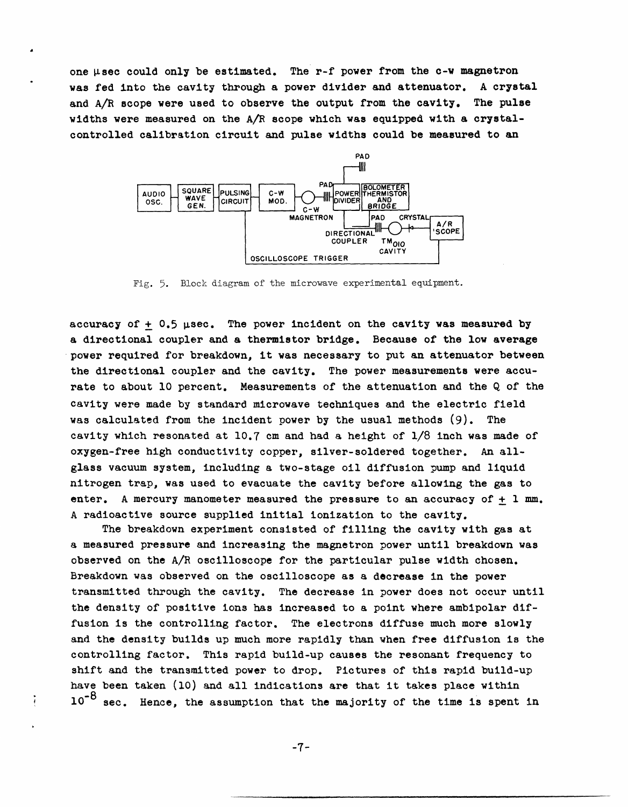one  $\mu$ sec could only be estimated. The r-f power from the c-w magnetron was fed into the cavity through a power divider and attenuator. A crystal and A/R scope were used to observe the output from the cavity. The pulse widths were measured on the A/R scope which was equipped with a crystalcontrolled calibration circuit and pulse widths could be measured to an



Fig. 5. Block diagram of the microwave experimental equipment.

accuracy of  $+$  0.5 µsec. The power incident on the cavity was measured by a directional coupler and a thermistor bridge. Because of the low average power required for breakdown, it was necessary to put an attenuator between the directional coupler and the cavity. The power measurements were accurate to about 10 percent. Measurements of the attenuation and the Q of the cavity were made by standard microwave techniques and the electric field was calculated from the incident power by the usual methods  $(9)$ . cavity which resonated at 10.7 cm and had a height of 1/8 inch was made of oxygen-free high conductivity copper, silver-soldered together. An allglass vacuum system, including a two-stage oil diffusion pump and liquid nitrogen trap, was used to evacuate the cavity before allowing the gas to enter. A mercury manometer measured the pressure to an accuracy of + 1 mm. A radioactive source supplied initial ionization to the cavity.

The breakdown experiment consisted of filling the cavity with gas at a measured pressure and increasing the magnetron power until breakdown was observed on the A/R oscilloscope for the particular pulse width chosen. Breakdown was observed on the oscilloscope as a decrease in the power transmitted through the cavity. The decrease in power does not occur until the density of positive ions has increased to a point where ambipolar diffusion is the controlling factor. The electrons diffuse much more slowly and the density builds up much more rapidly than when free diffusion is the controlling factor. This rapid build-up causes the resonant frequency to shift and the transmitted power to drop. Pictures of this rapid build-up have been taken (10) and all indications are that it takes place within  $10^{-8}$  sec. Hence, the assumption that the majority of the time is spent in

-7-

-~.---·I -- -CI^ - -- - -- I--